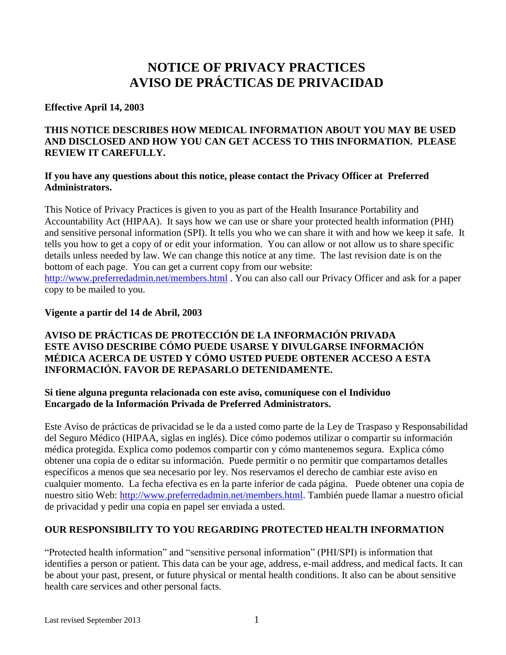# **NOTICE OF PRIVACY PRACTICES AVISO DE PRÁCTICAS DE PRIVACIDAD**

### **Effective April 14, 2003**

# **THIS NOTICE DESCRIBES HOW MEDICAL INFORMATION ABOUT YOU MAY BE USED AND DISCLOSED AND HOW YOU CAN GET ACCESS TO THIS INFORMATION. PLEASE REVIEW IT CAREFULLY.**

#### **If you have any questions about this notice, please contact the Privacy Officer at Preferred Administrators.**

This Notice of Privacy Practices is given to you as part of the Health Insurance Portability and Accountability Act (HIPAA). It says how we can use or share your protected health information (PHI) and sensitive personal information (SPI). It tells you who we can share it with and how we keep it safe. It tells you how to get a copy of or edit your information. You can allow or not allow us to share specific details unless needed by law. We can change this notice at any time. The last revision date is on the bottom of each page. You can get a current copy from our website: <http://www.preferredadmin.net/members.html> . You can also call our Privacy Officer and ask for a paper copy to be mailed to you.

### **Vigente a partir del 14 de Abril, 2003**

# **AVISO DE PRÁCTICAS DE PROTECCIÓN DE LA INFORMACIÓN PRIVADA ESTE AVISO DESCRIBE CÓMO PUEDE USARSE Y DIVULGARSE INFORMACIÓN MÉDICA ACERCA DE USTED Y CÓMO USTED PUEDE OBTENER ACCESO A ESTA INFORMACIÓN. FAVOR DE REPASARLO DETENIDAMENTE.**

# **Si tiene alguna pregunta relacionada con este aviso, comuníquese con el Individuo Encargado de la Información Privada de Preferred Administrators.**

Este Aviso de prácticas de privacidad se le da a usted como parte de la Ley de Traspaso y Responsabilidad del Seguro Médico (HIPAA, siglas en inglés). Dice cómo podemos utilizar o compartir su información médica protegida. Explica como podemos compartir con y cómo mantenemos segura. Explica cómo obtener una copia de o editar su información. Puede permitir o no permitir que compartamos detalles específicos a menos que sea necesario por ley. Nos reservamos el derecho de cambiar este aviso en cualquier momento. La fecha efectiva es en la parte inferior de cada página. Puede obtener una copia de nuestro sitio Web: [http://www.preferredadmin.net/members.html.](http://www.preferredadmin.net/members.html) También puede llamar a nuestro oficial de privacidad y pedir una copia en papel ser enviada a usted.

# **OUR RESPONSIBILITY TO YOU REGARDING PROTECTED HEALTH INFORMATION**

"Protected health information" and "sensitive personal information" (PHI/SPI) is information that identifies a person or patient. This data can be your age, address, e-mail address, and medical facts. It can be about your past, present, or future physical or mental health conditions. It also can be about sensitive health care services and other personal facts.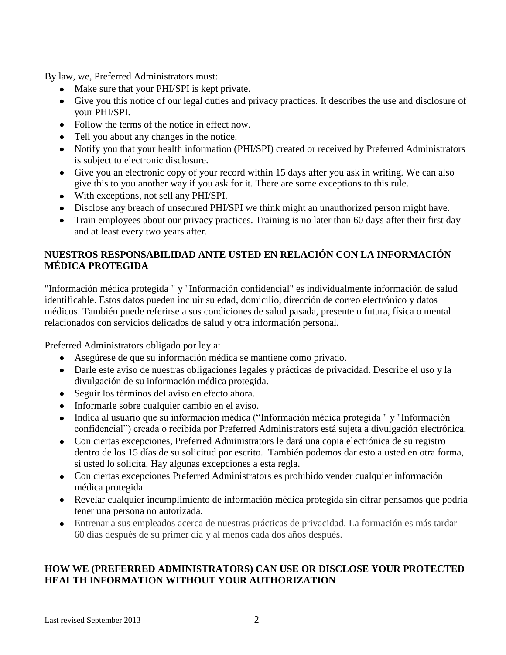By law, we, Preferred Administrators must:

- Make sure that your PHI/SPI is kept private.
- Give you this notice of our legal duties and privacy practices. It describes the use and disclosure of your PHI/SPI.
- Follow the terms of the notice in effect now.
- Tell you about any changes in the notice.
- Notify you that your health information (PHI/SPI) created or received by Preferred Administrators is subject to electronic disclosure.
- Give you an electronic copy of your record within 15 days after you ask in writing. We can also give this to you another way if you ask for it. There are some exceptions to this rule.
- With exceptions, not sell any PHI/SPI.
- Disclose any breach of unsecured PHI/SPI we think might an unauthorized person might have.
- Train employees about our privacy practices. Training is no later than 60 days after their first day and at least every two years after.

# **NUESTROS RESPONSABILIDAD ANTE USTED EN RELACIÓN CON LA INFORMACIÓN MÉDICA PROTEGIDA**

"Información médica protegida " y "Información confidencial" es individualmente información de salud identificable. Estos datos pueden incluir su edad, domicilio, dirección de correo electrónico y datos médicos. También puede referirse a sus condiciones de salud pasada, presente o futura, física o mental relacionados con servicios delicados de salud y otra información personal.

Preferred Administrators obligado por ley a:

- Asegúrese de que su información médica se mantiene como privado.
- Darle este aviso de nuestras obligaciones legales y prácticas de privacidad. Describe el uso y la divulgación de su información médica protegida.
- Seguir los términos del aviso en efecto ahora.
- Informarle sobre cualquier cambio en el aviso.
- Indica al usuario que su información médica ("Información médica protegida " y "Información confidencial") creada o recibida por Preferred Administrators está sujeta a divulgación electrónica.
- Con ciertas excepciones, Preferred Administrators le dará una copia electrónica de su registro dentro de los 15 días de su solicitud por escrito. También podemos dar esto a usted en otra forma, si usted lo solicita. Hay algunas excepciones a esta regla.
- Con ciertas excepciones Preferred Administrators es prohibido vender cualquier información médica protegida.
- Revelar cualquier incumplimiento de información médica protegida sin cifrar pensamos que podría tener una persona no autorizada.
- Entrenar a sus empleados acerca de nuestras prácticas de privacidad. La formación es más tardar 60 días después de su primer día y al menos cada dos años después.

# **HOW WE (PREFERRED ADMINISTRATORS) CAN USE OR DISCLOSE YOUR PROTECTED HEALTH INFORMATION WITHOUT YOUR AUTHORIZATION**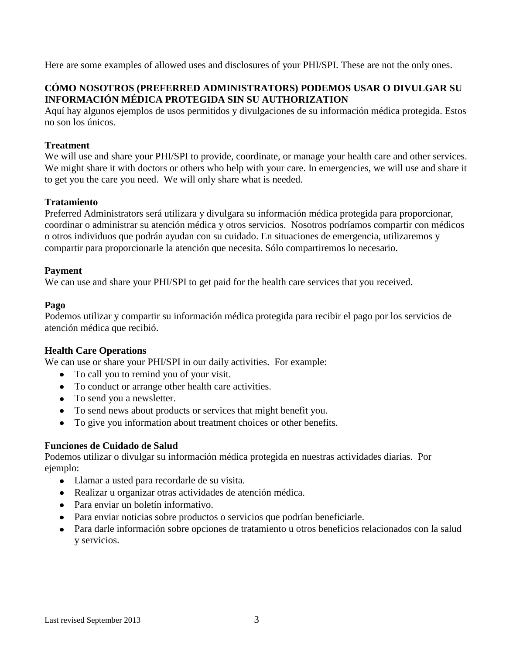Here are some examples of allowed uses and disclosures of your PHI/SPI. These are not the only ones.

# **CÓMO NOSOTROS (PREFERRED ADMINISTRATORS) PODEMOS USAR O DIVULGAR SU INFORMACIÓN MÉDICA PROTEGIDA SIN SU AUTHORIZATION**

Aquí hay algunos ejemplos de usos permitidos y divulgaciones de su información médica protegida. Estos no son los únicos.

### **Treatment**

We will use and share your PHI/SPI to provide, coordinate, or manage your health care and other services. We might share it with doctors or others who help with your care. In emergencies, we will use and share it to get you the care you need. We will only share what is needed.

### **Tratamiento**

Preferred Administrators será utilizara y divulgara su información médica protegida para proporcionar, coordinar o administrar su atención médica y otros servicios. Nosotros podríamos compartir con médicos o otros individuos que podrán ayudan con su cuidado. En situaciones de emergencia, utilizaremos y compartir para proporcionarle la atención que necesita. Sólo compartiremos lo necesario.

#### **Payment**

We can use and share your PHI/SPI to get paid for the health care services that you received.

### **Pago**

Podemos utilizar y compartir su información médica protegida para recibir el pago por los servicios de atención médica que recibió.

#### **Health Care Operations**

We can use or share your PHI/SPI in our daily activities. For example:

- To call you to remind you of your visit.
- To conduct or arrange other health care activities.
- To send you a new sletter.
- To send news about products or services that might benefit you.
- To give you information about treatment choices or other benefits.

# **Funciones de Cuidado de Salud**

Podemos utilizar o divulgar su información médica protegida en nuestras actividades diarias. Por ejemplo:

- Llamar a usted para recordarle de su visita.
- Realizar u organizar otras actividades de atención médica.
- Para enviar un boletín informativo.
- Para enviar noticias sobre productos o servicios que podrían beneficiarle.
- Para darle información sobre opciones de tratamiento u otros beneficios relacionados con la salud y servicios.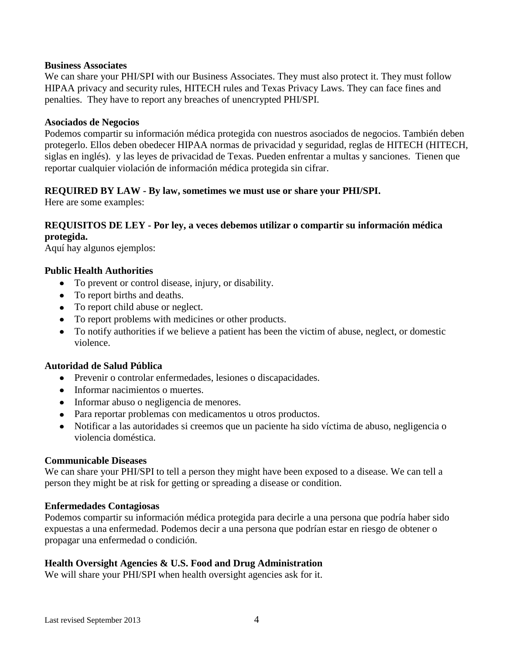#### **Business Associates**

We can share your PHI/SPI with our Business Associates. They must also protect it. They must follow HIPAA privacy and security rules, HITECH rules and Texas Privacy Laws. They can face fines and penalties. They have to report any breaches of unencrypted PHI/SPI.

#### **Asociados de Negocios**

Podemos compartir su información médica protegida con nuestros asociados de negocios. También deben protegerlo. Ellos deben obedecer HIPAA normas de privacidad y seguridad, reglas de HITECH (HITECH, siglas en inglés). y las leyes de privacidad de Texas. Pueden enfrentar a multas y sanciones. Tienen que reportar cualquier violación de información médica protegida sin cifrar.

### **REQUIRED BY LAW - By law, sometimes we must use or share your PHI/SPI.**

Here are some examples:

### **REQUISITOS DE LEY - Por ley, a veces debemos utilizar o compartir su información médica protegida.**

Aquí hay algunos ejemplos:

#### **Public Health Authorities**

- To prevent or control disease, injury, or disability.
- To report births and deaths.
- To report child abuse or neglect.
- To report problems with medicines or other products.
- To notify authorities if we believe a patient has been the victim of abuse, neglect, or domestic violence.

### **Autoridad de Salud Pública**

- Prevenir o controlar enfermedades, lesiones o discapacidades.
- Informar nacimientos o muertes.
- Informar abuso o negligencia de menores.
- Para reportar problemas con medicamentos u otros productos.
- Notificar a las autoridades si creemos que un paciente ha sido víctima de abuso, negligencia o violencia doméstica.

#### **Communicable Diseases**

We can share your PHI/SPI to tell a person they might have been exposed to a disease. We can tell a person they might be at risk for getting or spreading a disease or condition.

#### **Enfermedades Contagiosas**

Podemos compartir su información médica protegida para decirle a una persona que podría haber sido expuestas a una enfermedad. Podemos decir a una persona que podrían estar en riesgo de obtener o propagar una enfermedad o condición.

#### **Health Oversight Agencies & U.S. Food and Drug Administration**

We will share your PHI/SPI when health oversight agencies ask for it.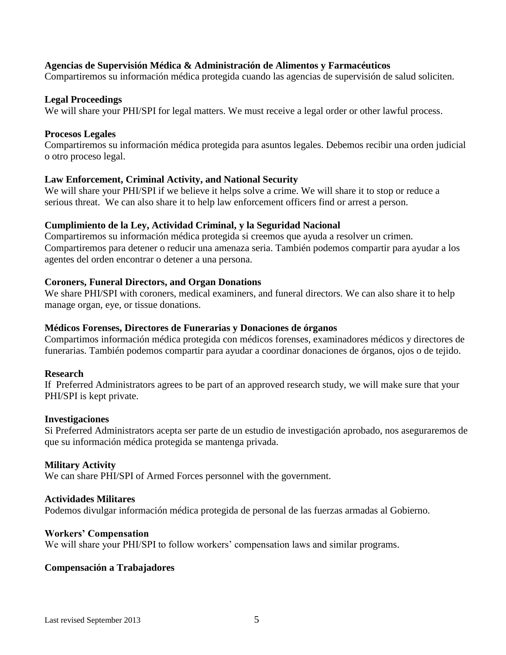### **Agencias de Supervisión Médica & Administración de Alimentos y Farmacéuticos**

Compartiremos su información médica protegida cuando las agencias de supervisión de salud soliciten.

#### **Legal Proceedings**

We will share your PHI/SPI for legal matters. We must receive a legal order or other lawful process.

#### **Procesos Legales**

Compartiremos su información médica protegida para asuntos legales. Debemos recibir una orden judicial o otro proceso legal.

#### **Law Enforcement, Criminal Activity, and National Security**

We will share your PHI/SPI if we believe it helps solve a crime. We will share it to stop or reduce a serious threat. We can also share it to help law enforcement officers find or arrest a person.

#### **Cumplimiento de la Ley, Actividad Criminal, y la Seguridad Nacional**

Compartiremos su información médica protegida si creemos que ayuda a resolver un crimen. Compartiremos para detener o reducir una amenaza seria. También podemos compartir para ayudar a los agentes del orden encontrar o detener a una persona.

#### **Coroners, Funeral Directors, and Organ Donations**

We share PHI/SPI with coroners, medical examiners, and funeral directors. We can also share it to help manage organ, eye, or tissue donations.

#### **Médicos Forenses, Directores de Funerarias y Donaciones de órganos**

Compartimos información médica protegida con médicos forenses, examinadores médicos y directores de funerarias. También podemos compartir para ayudar a coordinar donaciones de órganos, ojos o de tejido.

#### **Research**

If Preferred Administrators agrees to be part of an approved research study, we will make sure that your PHI/SPI is kept private.

#### **Investigaciones**

Si Preferred Administrators acepta ser parte de un estudio de investigación aprobado, nos aseguraremos de que su información médica protegida se mantenga privada.

#### **Military Activity**

We can share PHI/SPI of Armed Forces personnel with the government.

#### **Actividades Militares**

Podemos divulgar información médica protegida de personal de las fuerzas armadas al Gobierno.

#### **Workers' Compensation**

We will share your PHI/SPI to follow workers' compensation laws and similar programs.

#### **Compensación a Trabajadores**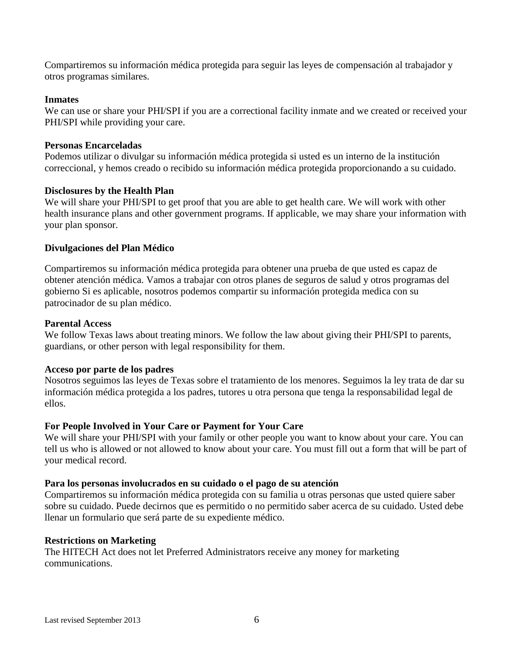Compartiremos su información médica protegida para seguir las leyes de compensación al trabajador y otros programas similares.

#### **Inmates**

We can use or share your PHI/SPI if you are a correctional facility inmate and we created or received your PHI/SPI while providing your care.

#### **Personas Encarceladas**

Podemos utilizar o divulgar su información médica protegida si usted es un interno de la institución correccional, y hemos creado o recibido su información médica protegida proporcionando a su cuidado.

#### **Disclosures by the Health Plan**

We will share your PHI/SPI to get proof that you are able to get health care. We will work with other health insurance plans and other government programs. If applicable, we may share your information with your plan sponsor.

#### **Divulgaciones del Plan Médico**

Compartiremos su información médica protegida para obtener una prueba de que usted es capaz de obtener atención médica. Vamos a trabajar con otros planes de seguros de salud y otros programas del gobierno Si es aplicable, nosotros podemos compartir su información protegida medica con su patrocinador de su plan médico.

#### **Parental Access**

We follow Texas laws about treating minors. We follow the law about giving their PHI/SPI to parents, guardians, or other person with legal responsibility for them.

#### **Acceso por parte de los padres**

Nosotros seguimos las leyes de Texas sobre el tratamiento de los menores. Seguimos la ley trata de dar su información médica protegida a los padres, tutores u otra persona que tenga la responsabilidad legal de ellos.

#### **For People Involved in Your Care or Payment for Your Care**

We will share your PHI/SPI with your family or other people you want to know about your care. You can tell us who is allowed or not allowed to know about your care. You must fill out a form that will be part of your medical record.

#### **Para los personas involucrados en su cuidado o el pago de su atención**

Compartiremos su información médica protegida con su familia u otras personas que usted quiere saber sobre su cuidado. Puede decirnos que es permitido o no permitido saber acerca de su cuidado. Usted debe llenar un formulario que será parte de su expediente médico.

#### **Restrictions on Marketing**

The HITECH Act does not let Preferred Administrators receive any money for marketing communications.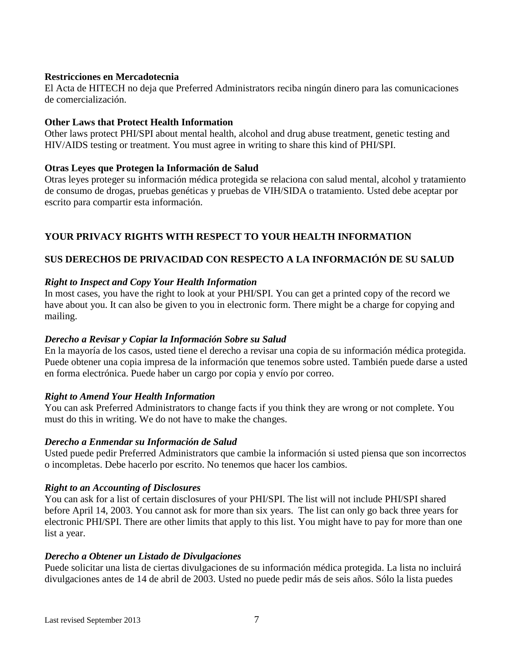### **Restricciones en Mercadotecnia**

El Acta de HITECH no deja que Preferred Administrators reciba ningún dinero para las comunicaciones de comercialización.

### **Other Laws that Protect Health Information**

Other laws protect PHI/SPI about mental health, alcohol and drug abuse treatment, genetic testing and HIV/AIDS testing or treatment. You must agree in writing to share this kind of PHI/SPI.

### **Otras Leyes que Protegen la Información de Salud**

Otras leyes proteger su información médica protegida se relaciona con salud mental, alcohol y tratamiento de consumo de drogas, pruebas genéticas y pruebas de VIH/SIDA o tratamiento. Usted debe aceptar por escrito para compartir esta información.

# **YOUR PRIVACY RIGHTS WITH RESPECT TO YOUR HEALTH INFORMATION**

# **SUS DERECHOS DE PRIVACIDAD CON RESPECTO A LA INFORMACIÓN DE SU SALUD**

### *Right to Inspect and Copy Your Health Information*

In most cases, you have the right to look at your PHI/SPI. You can get a printed copy of the record we have about you. It can also be given to you in electronic form. There might be a charge for copying and mailing.

# *Derecho a Revisar y Copiar la Información Sobre su Salud*

En la mayoría de los casos, usted tiene el derecho a revisar una copia de su información médica protegida. Puede obtener una copia impresa de la información que tenemos sobre usted. También puede darse a usted en forma electrónica. Puede haber un cargo por copia y envío por correo.

#### *Right to Amend Your Health Information*

You can ask Preferred Administrators to change facts if you think they are wrong or not complete. You must do this in writing. We do not have to make the changes.

#### *Derecho a Enmendar su Información de Salud*

Usted puede pedir Preferred Administrators que cambie la información si usted piensa que son incorrectos o incompletas. Debe hacerlo por escrito. No tenemos que hacer los cambios.

#### *Right to an Accounting of Disclosures*

You can ask for a list of certain disclosures of your PHI/SPI. The list will not include PHI/SPI shared before April 14, 2003. You cannot ask for more than six years. The list can only go back three years for electronic PHI/SPI. There are other limits that apply to this list. You might have to pay for more than one list a year.

#### *Derecho a Obtener un Listado de Divulgaciones*

Puede solicitar una lista de ciertas divulgaciones de su información médica protegida. La lista no incluirá divulgaciones antes de 14 de abril de 2003. Usted no puede pedir más de seis años. Sólo la lista puedes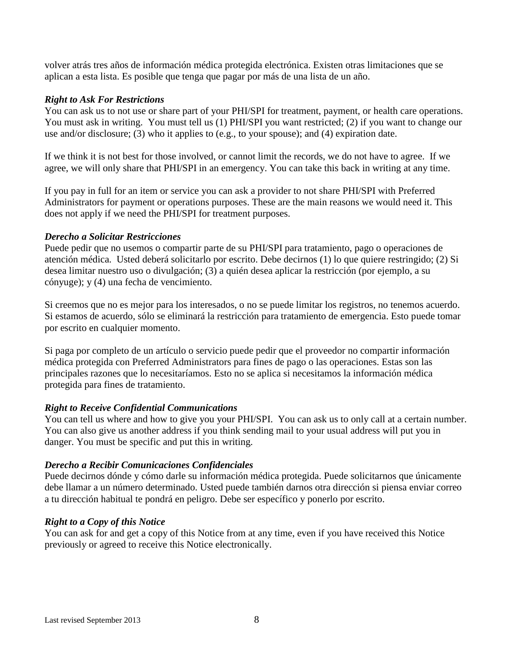volver atrás tres años de información médica protegida electrónica. Existen otras limitaciones que se aplican a esta lista. Es posible que tenga que pagar por más de una lista de un año.

### *Right to Ask For Restrictions*

You can ask us to not use or share part of your PHI/SPI for treatment, payment, or health care operations. You must ask in writing. You must tell us (1) PHI/SPI you want restricted; (2) if you want to change our use and/or disclosure; (3) who it applies to (e.g., to your spouse); and (4) expiration date.

If we think it is not best for those involved, or cannot limit the records, we do not have to agree. If we agree, we will only share that PHI/SPI in an emergency. You can take this back in writing at any time.

If you pay in full for an item or service you can ask a provider to not share PHI/SPI with Preferred Administrators for payment or operations purposes. These are the main reasons we would need it. This does not apply if we need the PHI/SPI for treatment purposes.

### *Derecho a Solicitar Restricciones*

Puede pedir que no usemos o compartir parte de su PHI/SPI para tratamiento, pago o operaciones de atención médica. Usted deberá solicitarlo por escrito. Debe decirnos (1) lo que quiere restringido; (2) Si desea limitar nuestro uso o divulgación; (3) a quién desea aplicar la restricción (por ejemplo, a su cónyuge); y (4) una fecha de vencimiento.

Si creemos que no es mejor para los interesados, o no se puede limitar los registros, no tenemos acuerdo. Si estamos de acuerdo, sólo se eliminará la restricción para tratamiento de emergencia. Esto puede tomar por escrito en cualquier momento.

Si paga por completo de un artículo o servicio puede pedir que el proveedor no compartir información médica protegida con Preferred Administrators para fines de pago o las operaciones. Estas son las principales razones que lo necesitaríamos. Esto no se aplica si necesitamos la información médica protegida para fines de tratamiento.

# *Right to Receive Confidential Communications*

You can tell us where and how to give you your PHI/SPI. You can ask us to only call at a certain number. You can also give us another address if you think sending mail to your usual address will put you in danger. You must be specific and put this in writing.

#### *Derecho a Recibir Comunicaciones Confidenciales*

Puede decirnos dónde y cómo darle su información médica protegida. Puede solicitarnos que únicamente debe llamar a un número determinado. Usted puede también darnos otra dirección si piensa enviar correo a tu dirección habitual te pondrá en peligro. Debe ser específico y ponerlo por escrito.

# *Right to a Copy of this Notice*

You can ask for and get a copy of this Notice from at any time, even if you have received this Notice previously or agreed to receive this Notice electronically.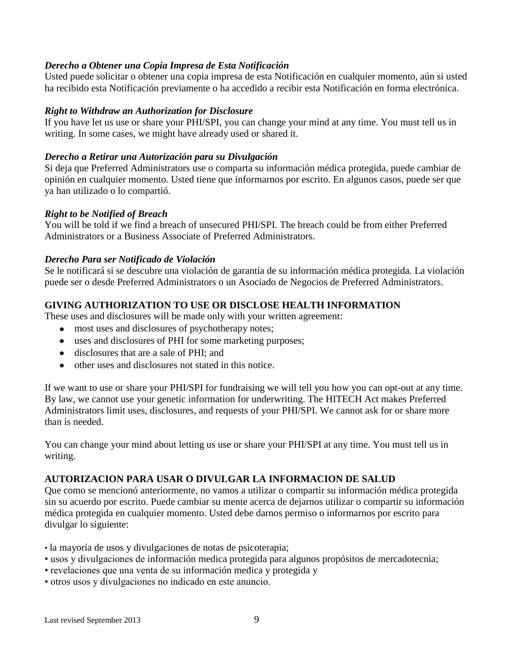### *Derecho a Obtener una Copia Impresa de Esta Notificación*

Usted puede solicitar o obtener una copia impresa de esta Notificación en cualquier momento, aún si usted ha recibido esta Notificación previamente o ha accedido a recibir esta Notificación en forma electrónica.

### *Right to Withdraw an Authorization for Disclosure*

If you have let us use or share your PHI/SPI, you can change your mind at any time. You must tell us in writing. In some cases, we might have already used or shared it.

### *Derecho a Retirar una Autorización para su Divulgación*

Si deja que Preferred Administrators use o comparta su información médica protegida, puede cambiar de opinión en cualquier momento. Usted tiene que informarnos por escrito. En algunos casos, puede ser que ya han utilizado o lo compartió.

### *Right to be Notified of Breach*

You will be told if we find a breach of unsecured PHI/SPI. The breach could be from either Preferred Administrators or a Business Associate of Preferred Administrators.

### *Derecho Para ser Notificado de Violación*

Se le notificará si se descubre una violación de garantía de su información médica protegida. La violación puede ser o desde Preferred Administrators o un Asociado de Negocios de Preferred Administrators.

# **GIVING AUTHORIZATION TO USE OR DISCLOSE HEALTH INFORMATION**

These uses and disclosures will be made only with your written agreement:

- most uses and disclosures of psychotherapy notes;
- uses and disclosures of PHI for some marketing purposes;
- disclosures that are a sale of PHI; and
- other uses and disclosures not stated in this notice.

If we want to use or share your PHI/SPI for fundraising we will tell you how you can opt-out at any time. By law, we cannot use your genetic information for underwriting. The HITECH Act makes Preferred Administrators limit uses, disclosures, and requests of your PHI/SPI. We cannot ask for or share more than is needed.

You can change your mind about letting us use or share your PHI/SPI at any time. You must tell us in writing.

# **AUTORIZACION PARA USAR O DIVULGAR LA INFORMACION DE SALUD**

Que como se mencionó anteriormente, no vamos a utilizar o compartir su información médica protegida sin su acuerdo por escrito. Puede cambiar su mente acerca de dejarnos utilizar o compartir su información médica protegida en cualquier momento. Usted debe darnos permiso o informarnos por escrito para divulgar lo siguiente:

- la mayoría de usos y divulgaciones de notas de psicoterapia;
- usos y divulgaciones de información medica protegida para algunos propósitos de mercadotecnia;
- revelaciones que una venta de su información medica y protegida y
- otros usos y divulgaciones no indicado en este anuncio.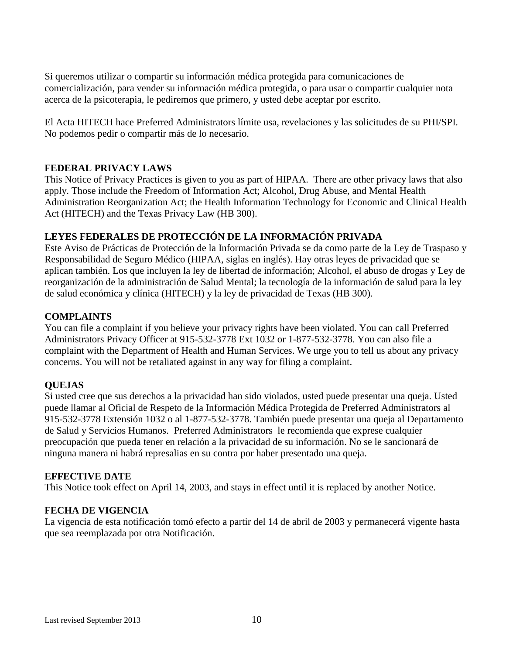Si queremos utilizar o compartir su información médica protegida para comunicaciones de comercialización, para vender su información médica protegida, o para usar o compartir cualquier nota acerca de la psicoterapia, le pediremos que primero, y usted debe aceptar por escrito.

El Acta HITECH hace Preferred Administrators límite usa, revelaciones y las solicitudes de su PHI/SPI. No podemos pedir o compartir más de lo necesario.

### **FEDERAL PRIVACY LAWS**

This Notice of Privacy Practices is given to you as part of HIPAA. There are other privacy laws that also apply. Those include the Freedom of Information Act; Alcohol, Drug Abuse, and Mental Health Administration Reorganization Act; the Health Information Technology for Economic and Clinical Health Act (HITECH) and the Texas Privacy Law (HB 300).

### **LEYES FEDERALES DE PROTECCIÓN DE LA INFORMACIÓN PRIVADA**

Este Aviso de Prácticas de Protección de la Información Privada se da como parte de la Ley de Traspaso y Responsabilidad de Seguro Médico (HIPAA, siglas en inglés). Hay otras leyes de privacidad que se aplican también. Los que incluyen la ley de libertad de información; Alcohol, el abuso de drogas y Ley de reorganización de la administración de Salud Mental; la tecnología de la información de salud para la ley de salud económica y clínica (HITECH) y la ley de privacidad de Texas (HB 300).

### **COMPLAINTS**

You can file a complaint if you believe your privacy rights have been violated. You can call Preferred Administrators Privacy Officer at 915-532-3778 Ext 1032 or 1-877-532-3778. You can also file a complaint with the Department of Health and Human Services. We urge you to tell us about any privacy concerns. You will not be retaliated against in any way for filing a complaint.

# **QUEJAS**

Si usted cree que sus derechos a la privacidad han sido violados, usted puede presentar una queja. Usted puede llamar al Oficial de Respeto de la Información Médica Protegida de Preferred Administrators al 915-532-3778 Extensión 1032 o al 1-877-532-3778. También puede presentar una queja al Departamento de Salud y Servicios Humanos. Preferred Administrators le recomienda que exprese cualquier preocupación que pueda tener en relación a la privacidad de su información. No se le sancionará de ninguna manera ni habrá represalias en su contra por haber presentado una queja.

#### **EFFECTIVE DATE**

This Notice took effect on April 14, 2003, and stays in effect until it is replaced by another Notice.

# **FECHA DE VIGENCIA**

La vigencia de esta notificación tomó efecto a partir del 14 de abril de 2003 y permanecerá vigente hasta que sea reemplazada por otra Notificación.